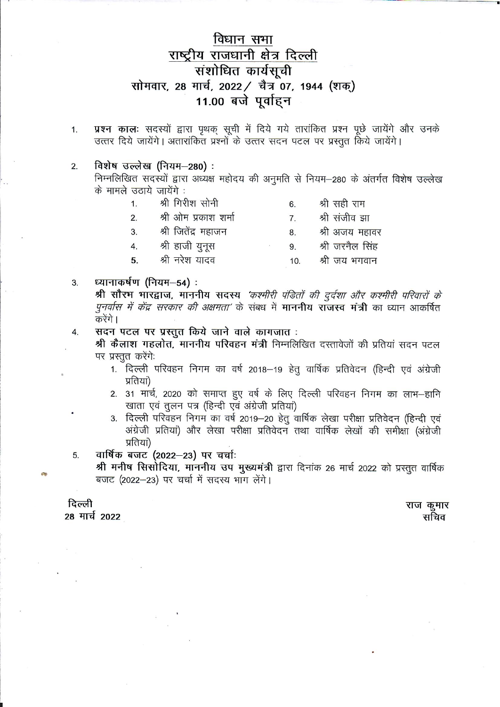# विधान सभा राष्ट्रीय राजधानी क्षेत्र दिल्ली संशोधित कार्यसूची सोमवार, 28 मार्च, 2022 / चैत्र 07, 1944 (शक्) 11.00 बजे पूर्वाहन

प्रश्न कालः सदस्यों द्वारा पृथक् सूची में दिये गये तारांकित प्रश्न पूछे जायेंगे और उनके 1. उत्तर दिये जायेंगे। अतारांकित प्रश्नों के उत्तर सदन पटल पर प्रस्तुत किये जायेंगे।

#### विशेष उल्लेख (नियम-280):  $2.$

निम्नलिखित सदस्यों द्वारा अध्यक्ष महोदय की अनुमति से नियम-280 के अंतर्गत विशेष उल्लेख के मामले उठाये जायेंगे :

| 1. | श्री गिरोश सोनी      | 6.              | श्री सही राम    |
|----|----------------------|-----------------|-----------------|
| 2. | श्री ओम प्रकाश शर्मा | 7 <sub>1</sub>  | श्री संजीव झा   |
| 3. | श्री जितेंद्र महाजन  | 8.              | श्री अजय महावर  |
| 4. | श्री हाजी युनूस      | 9.              | श्री जरनैल सिंह |
| 5. | श्री नरेश यादव       | 10 <sup>1</sup> | श्री जय भगवान   |
|    |                      |                 |                 |

#### ध्यानाकर्षण (नियम-54): 3.

श्री सौरभ भारद्वाज, माननीय सदस्य 'कश्मीरी पंडितों की दुर्दशा और कश्मीरी परिवारों के *पुनर्वास में केंद्र सरकार की अक्षमता'* के संबध में **माननीय राजस्व मंत्री** का ध्यान आकर्षित करेंगे ।

सदन पटल पर प्रस्तुत किये जाने वाले कागजात: 4.

> श्री कैलाश गहलोत, माननीय परिवहन मंत्री निम्नलिखित दस्तावेजों की प्रतियां सदन पटल पर प्रस्तुत करेंगे.

- 1. दिल्ली परिवहन निगम का वर्ष 2018-19 हेतु वार्षिक प्रतिवेदन (हिन्दी एवं अंग्रेजी प्रतियां)
- 2. 31 मार्च, 2020 को समाप्त हुए वर्ष के लिए दिल्ली परिवहन निगम का लाभ–हानि खाता एवं तुलन पत्र (हिन्दी एवं अंग्रेजी प्रतियां)
- 3. दिल्ली परिवहन निगम का वर्ष 2019-20 हेतु वार्षिक लेखा परीक्षा प्रतिवेदन (हिन्दी एवं अंग्रेजी प्रतियां) और लेखा परीक्षा प्रतिवेदन तथा वार्षिक लेखों की समीक्षा (अंग्रेजी प्रतियां)

वार्षिक बजट (2022-23) पर चर्चाः 5.

श्री मनीष सिसोदिया, माननीय उप मुख्यमंत्री द्वारा दिनांक 26 मार्च 2022 को प्रस्तुत वार्षिक बजट (2022-23) पर चर्चा में सदस्य भाग लेंगे।

दिल्ली 28 मार्च 2022 राज कुमार सचिव